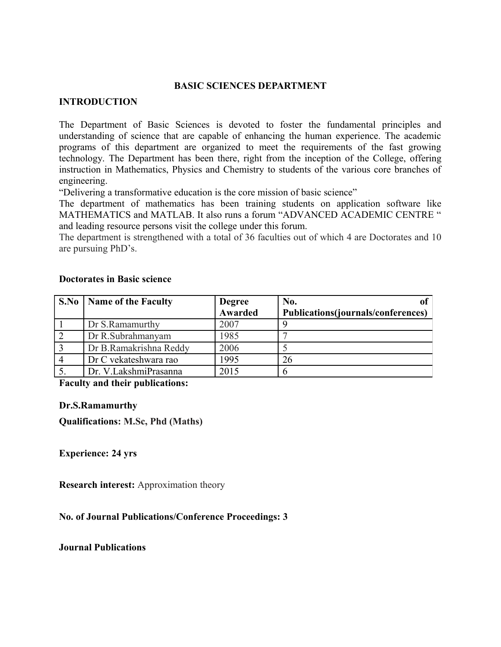## **BASIC SCIENCES DEPARTMENT**

#### **INTRODUCTION**

The Department of Basic Sciences is devoted to foster the fundamental principles and understanding of science that are capable of enhancing the human experience. The academic programs of this department are organized to meet the requirements of the fast growing technology. The Department has been there, right from the inception of the College, offering instruction in Mathematics, Physics and Chemistry to students of the various core branches of engineering.

"Delivering a transformative education is the core mission of basic science"

The department of mathematics has been training students on application software like MATHEMATICS and MATLAB. It also runs a forum "ADVANCED ACADEMIC CENTRE " and leading resource persons visit the college under this forum.

The department is strengthened with a total of 36 faculties out of which 4 are Doctorates and 10 are pursuing PhD's.

| S.No   Name of the Faculty | <b>Degree</b> | No.                                |
|----------------------------|---------------|------------------------------------|
|                            | Awarded       | Publications(journals/conferences) |
| Dr S.Ramamurthy            | 2007          |                                    |
| Dr R.Subrahmanyam          | 1985          |                                    |
| Dr B.Ramakrishna Reddy     | 2006          |                                    |
| Dr C vekateshwara rao      | 1995          | 26                                 |
| Dr. V.LakshmiPrasanna      | 2015          |                                    |

#### **Doctorates in Basic science**

**Faculty and their publications:**

#### **Dr.S.Ramamurthy**

**Qualifications: M.Sc, Phd (Maths)** 

**Experience: 24 yrs**

**Research interest:** Approximation theory

**No. of Journal Publications/Conference Proceedings: 3** 

**Journal Publications**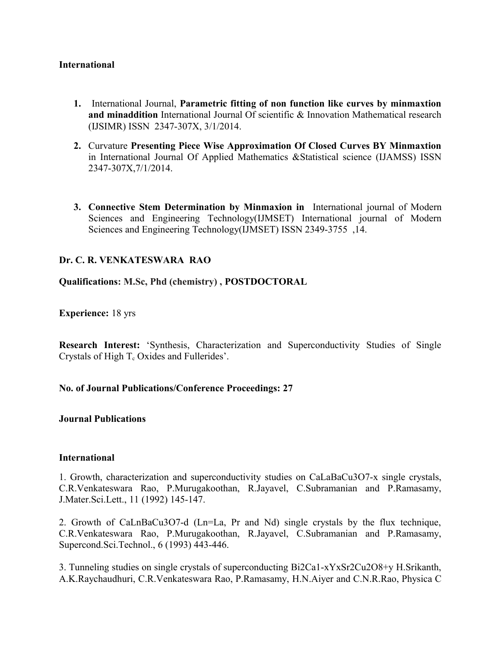## **International**

- **1.** International Journal, **Parametric fitting of non function like curves by minmaxtion and minaddition** International Journal Of scientific & Innovation Mathematical research (IJSIMR) ISSN 2347-307X, 3/1/2014.
- **2.** Curvature **Presenting Piece Wise Approximation Of Closed Curves BY Minmaxtion** in International Journal Of Applied Mathematics &Statistical science (IJAMSS) ISSN 2347-307X,7/1/2014.
- **3. Connective Stem Determination by Minmaxion in** International journal of Modern Sciences and Engineering Technology(IJMSET) International journal of Modern Sciences and Engineering Technology(IJMSET) ISSN 2349-3755 ,14.

## **Dr. C. R. VENKATESWARA RAO**

**Qualifications: M.Sc, Phd (chemistry) , POSTDOCTORAL**

**Experience:** 18 yrs

**Research Interest:** 'Synthesis, Characterization and Superconductivity Studies of Single Crystals of High  $T_c$  Oxides and Fullerides'.

## **No. of Journal Publications/Conference Proceedings: 27**

#### **Journal Publications**

#### **International**

1. Growth, characterization and superconductivity studies on CaLaBaCu3O7-x single crystals, C.R.Venkateswara Rao, P.Murugakoothan, R.Jayavel, C.Subramanian and P.Ramasamy, J.Mater.Sci.Lett., 11 (1992) 145-147.

2. Growth of CaLnBaCu3O7-d (Ln=La, Pr and Nd) single crystals by the flux technique, C.R.Venkateswara Rao, P.Murugakoothan, R.Jayavel, C.Subramanian and P.Ramasamy, Supercond.Sci.Technol., 6 (1993) 443-446.

3. Tunneling studies on single crystals of superconducting Bi2Ca1-xYxSr2Cu2O8+y H.Srikanth, A.K.Raychaudhuri, C.R.Venkateswara Rao, P.Ramasamy, H.N.Aiyer and C.N.R.Rao, Physica C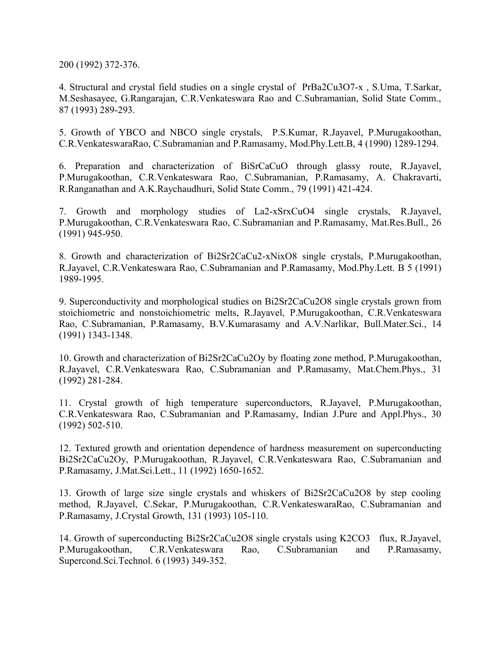200 (1992) 372-376.

4. Structural and crystal field studies on a single crystal of PrBa2Cu3O7-x , S.Uma, T.Sarkar, M.Seshasayee, G.Rangarajan, C.R.Venkateswara Rao and C.Subramanian, Solid State Comm., 87 (1993) 289-293.

5. Growth of YBCO and NBCO single crystals, P.S.Kumar, R.Jayavel, P.Murugakoothan, C.R.VenkateswaraRao, C.Subramanian and P.Ramasamy, Mod.Phy.Lett.B, 4 (1990) 1289-1294.

6. Preparation and characterization of BiSrCaCuO through glassy route, R.Jayavel, P.Murugakoothan, C.R.Venkateswara Rao, C.Subramanian, P.Ramasamy, A. Chakravarti, R.Ranganathan and A.K.Raychaudhuri, Solid State Comm., 79 (1991) 421-424.

7. Growth and morphology studies of La2-xSrxCuO4 single crystals, R.Jayavel, P.Murugakoothan, C.R.Venkateswara Rao, C.Subramanian and P.Ramasamy, Mat.Res.Bull., 26 (1991) 945-950.

8. Growth and characterization of Bi2Sr2CaCu2-xNixO8 single crystals, P.Murugakoothan, R.Jayavel, C.R.Venkateswara Rao, C.Subramanian and P.Ramasamy, Mod.Phy.Lett. B 5 (1991) 1989-1995.

9. Superconductivity and morphological studies on Bi2Sr2CaCu2O8 single crystals grown from stoichiometric and nonstoichiometric melts, R.Jayavel, P.Murugakoothan, C.R.Venkateswara Rao, C.Subramanian, P.Ramasamy, B.V.Kumarasamy and A.V.Narlikar, Bull.Mater.Sci., 14 (1991) 1343-1348.

10. Growth and characterization of Bi2Sr2CaCu2Oy by floating zone method, P.Murugakoothan, R.Jayavel, C.R.Venkateswara Rao, C.Subramanian and P.Ramasamy, Mat.Chem.Phys., 31 (1992) 281-284.

11. Crystal growth of high temperature superconductors, R.Jayavel, P.Murugakoothan, C.R.Venkateswara Rao, C.Subramanian and P.Ramasamy, Indian J.Pure and Appl.Phys., 30 (1992) 502-510.

12. Textured growth and orientation dependence of hardness measurement on superconducting Bi2Sr2CaCu2Oy, P.Murugakoothan, R.Jayavel, C.R.Venkateswara Rao, C.Subramanian and P.Ramasamy, J.Mat.Sci.Lett., 11 (1992) 1650-1652.

13. Growth of large size single crystals and whiskers of Bi2Sr2CaCu2O8 by step cooling method, R.Jayavel, C.Sekar, P.Murugakoothan, C.R.VenkateswaraRao, C.Subramanian and P.Ramasamy, J.Crystal Growth, 131 (1993) 105-110.

14. Growth of superconducting Bi2Sr2CaCu2O8 single crystals using K2CO3 flux, R.Jayavel, P.Murugakoothan, C.R.Venkateswara Rao, C.Subramanian and P.Ramasamy, Supercond.Sci.Technol. 6 (1993) 349-352.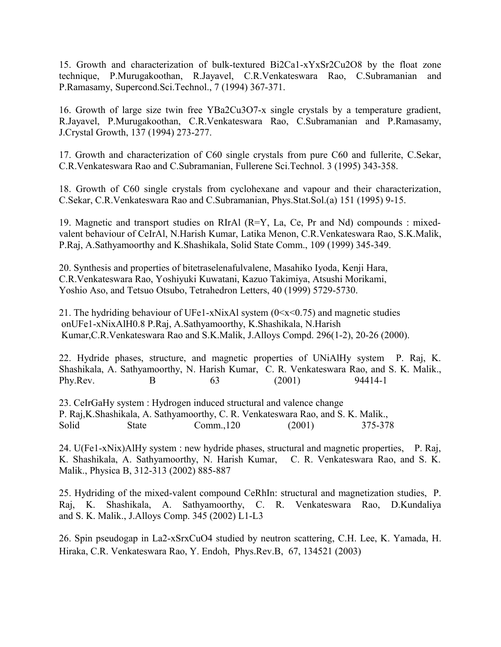15. Growth and characterization of bulk-textured Bi2Ca1-xYxSr2Cu2O8 by the float zone technique, P.Murugakoothan, R.Jayavel, C.R.Venkateswara Rao, C.Subramanian and P.Ramasamy, Supercond.Sci.Technol., 7 (1994) 367-371.

16. Growth of large size twin free YBa2Cu3O7-x single crystals by a temperature gradient, R.Jayavel, P.Murugakoothan, C.R.Venkateswara Rao, C.Subramanian and P.Ramasamy, J.Crystal Growth, 137 (1994) 273-277.

17. Growth and characterization of C60 single crystals from pure C60 and fullerite, C.Sekar, C.R.Venkateswara Rao and C.Subramanian, Fullerene Sci.Technol. 3 (1995) 343-358.

18. Growth of C60 single crystals from cyclohexane and vapour and their characterization, C.Sekar, C.R.Venkateswara Rao and C.Subramanian, Phys.Stat.Sol.(a) 151 (1995) 9-15.

19. Magnetic and transport studies on RIrAl (R=Y, La, Ce, Pr and Nd) compounds : mixedvalent behaviour of CeIrAl, N.Harish Kumar, Latika Menon, C.R.Venkateswara Rao, S.K.Malik, P.Raj, A.Sathyamoorthy and K.Shashikala, Solid State Comm., 109 (1999) 345-349.

20. Synthesis and properties of bitetraselenafulvalene, Masahiko Iyoda, Kenji Hara, C.R.Venkateswara Rao, Yoshiyuki Kuwatani, Kazuo Takimiya, Atsushi Morikami, Yoshio Aso, and Tetsuo Otsubo, Tetrahedron Letters, 40 (1999) 5729-5730.

21. The hydriding behaviour of UFe1-xNixAl system  $(0 \le x \le 0.75)$  and magnetic studies onUFe1-xNixAlH0.8 P.Raj, A.Sathyamoorthy, K.Shashikala, N.Harish Kumar,C.R.Venkateswara Rao and S.K.Malik, J.Alloys Compd. 296(1-2), 20-26 (2000).

22. Hydride phases, structure, and magnetic properties of UNiAlHy system P. Raj, K. Shashikala, A. Sathyamoorthy, N. Harish Kumar, C. R. Venkateswara Rao, and S. K. Malik., Phy.Rev. B 63 (2001) 94414-1

23. CeIrGaHy system : Hydrogen induced structural and valence change P. Raj,K.Shashikala, A. Sathyamoorthy, C. R. Venkateswara Rao, and S. K. Malik., Solid State Comm.,120 (2001) 375-378

24. U(Fe1-xNix)AlHy system : new hydride phases, structural and magnetic properties, P. Raj, K. Shashikala, A. Sathyamoorthy, N. Harish Kumar, C. R. Venkateswara Rao, and S. K. Malik., Physica B, 312-313 (2002) 885-887

25. Hydriding of the mixed-valent compound CeRhIn: structural and magnetization studies, P. Raj, K. Shashikala, A. Sathyamoorthy, C. R. Venkateswara Rao, D.Kundaliya and S. K. Malik., J.Alloys Comp. 345 (2002) L1-L3

26. Spin pseudogap in La2-xSrxCuO4 studied by neutron scattering, C.H. Lee, K. Yamada, H. Hiraka, C.R. Venkateswara Rao, Y. Endoh, Phys.Rev.B, 67, 134521 (2003)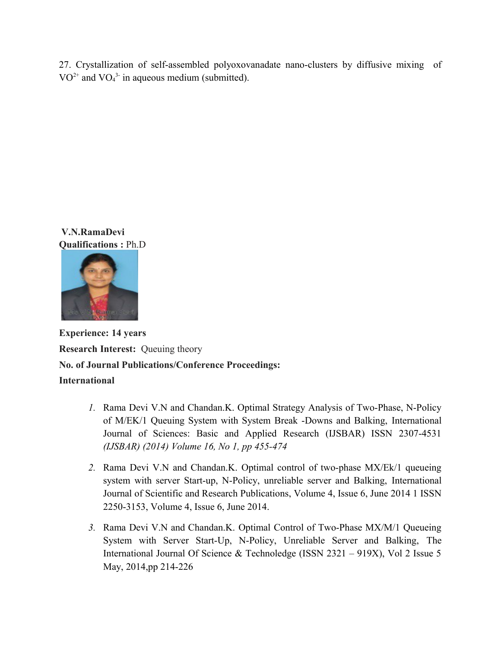27. Crystallization of self-assembled polyoxovanadate nano-clusters by diffusive mixing of  $VO^{2+}$  and  $VO_4^{3-}$  in aqueous medium (submitted).

 **V.N.RamaDevi Qualifications :** Ph.D



**Experience: 14 years Research Interest:** Queuing theory **No. of Journal Publications/Conference Proceedings: International**

- *1.* Rama Devi V.N and Chandan.K. Optimal Strategy Analysis of Two-Phase, N-Policy of M/EK/1 Queuing System with System Break -Downs and Balking, International Journal of Sciences: Basic and Applied Research (IJSBAR) ISSN 2307-4531 *(IJSBAR) (2014) Volume 16, No 1, pp 455-474*
- *2.* Rama Devi V.N and Chandan.K. Optimal control of two-phase MX/Ek/1 queueing system with server Start-up, N-Policy, unreliable server and Balking, International Journal of Scientific and Research Publications, Volume 4, Issue 6, June 2014 1 ISSN 2250-3153, Volume 4, Issue 6, June 2014.
- *3.* Rama Devi V.N and Chandan.K. Optimal Control of Two-Phase MX/M/1 Queueing System with Server Start-Up, N-Policy, Unreliable Server and Balking, The International Journal Of Science & Technoledge (ISSN 2321 – 919X), Vol 2 Issue 5 May, 2014,pp 214-226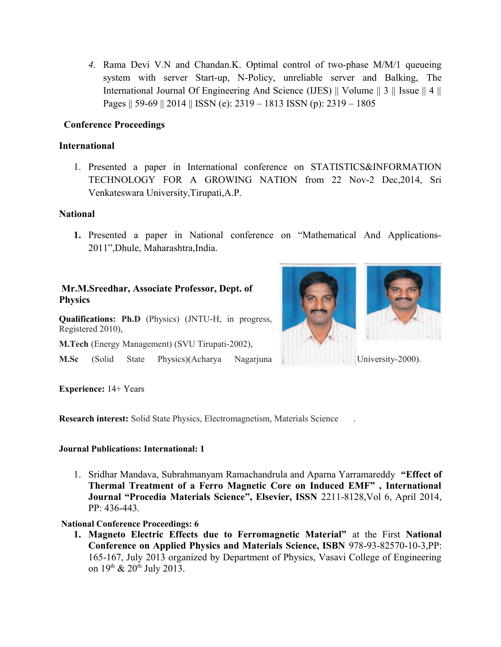*4.* Rama Devi V.N and Chandan.K. Optimal control of two-phase M/M/1 queueing system with server Start-up, N-Policy, unreliable server and Balking, The International Journal Of Engineering And Science (IJES) || Volume || 3 || Issue || 4 || Pages || 59-69 || 2014 || ISSN (e): 2319 – 1813 ISSN (p): 2319 – 1805

## **Conference Proceedings**

## **International**

1. Presented a paper in International conference on STATISTICS&INFORMATION TECHNOLOGY FOR A GROWING NATION from 22 Nov-2 Dec,2014, Sri Venkateswara University,Tirupati,A.P.

## **National**

**1.** Presented a paper in National conference on "Mathematical And Applications-2011",Dhule, Maharashtra,India.

## **Mr.M.Sreedhar, Associate Professor, Dept. of Physics**

**Qualifications: Ph.D** (Physics) (JNTU-H, in progress, Registered 2010),

**M.Tech** (Energy Management) (SVU Tirupati-2002),

**M.Sc** (Solid State Physics)(Acharya Nagarjuna | | | | | | | | University-2000).





**Experience:** 14+ Years

**Research interest:** Solid State Physics, Electromagnetism, Materials Science .

## **Journal Publications: International: 1**

1. Sridhar Mandava, Subrahmanyam Ramachandrula and Aparna Yarramareddy **"Effect of Thermal Treatment of a Ferro Magnetic Core on Induced EMF" , International Journal "Procedia Materials Science", Elsevier, ISSN** 2211-8128,Vol 6, April 2014, PP: 436-443.

## **National Conference Proceedings: 6**

**1. Magneto Electric Effects due to Ferromagnetic Material"** at the First **National Conference on Applied Physics and Materials Science, ISBN** 978-93-82570-10-3,PP: 165-167, July 2013 organized by Department of Physics, Vasavi College of Engineering on  $19^{th}$  &  $20^{th}$  July 2013.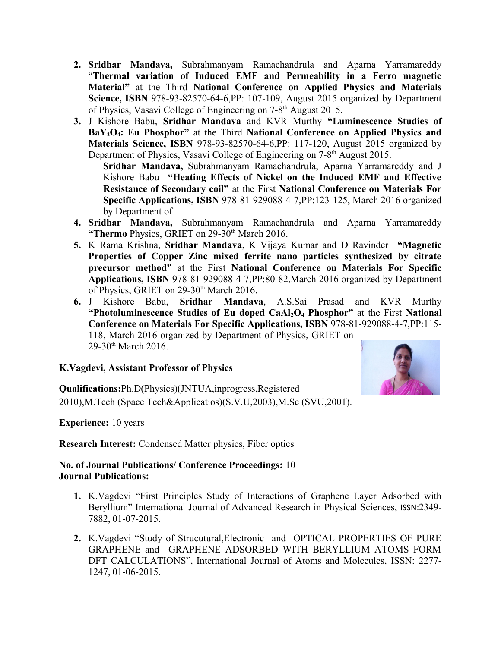- **2. Sridhar Mandava,** Subrahmanyam Ramachandrula and Aparna Yarramareddy "**Thermal variation of Induced EMF and Permeability in a Ferro magnetic Material"** at the Third **National Conference on Applied Physics and Materials Science, ISBN** 978-93-82570-64-6,PP: 107-109, August 2015 organized by Department of Physics, Vasavi College of Engineering on 7-8th August 2015.
- **3.** J Kishore Babu, **Sridhar Mandava** and KVR Murthy **"Luminescence Studies of BaY2O4: Eu Phosphor"** at the Third **National Conference on Applied Physics and Materials Science, ISBN** 978-93-82570-64-6,PP: 117-120, August 2015 organized by Department of Physics, Vasavi College of Engineering on 7-8<sup>th</sup> August 2015.

**Sridhar Mandava,** Subrahmanyam Ramachandrula, Aparna Yarramareddy and J Kishore Babu **"Heating Effects of Nickel on the Induced EMF and Effective Resistance of Secondary coil"** at the First **National Conference on Materials For Specific Applications, ISBN** 978-81-929088-4-7,PP:123-125, March 2016 organized by Department of

- **4. Sridhar Mandava,** Subrahmanyam Ramachandrula and Aparna Yarramareddy "Thermo Physics, GRIET on 29-30<sup>th</sup> March 2016.
- **5.** K Rama Krishna, **Sridhar Mandava**, K Vijaya Kumar and D Ravinder **"Magnetic Properties of Copper Zinc mixed ferrite nano particles synthesized by citrate precursor method"** at the First **National Conference on Materials For Specific Applications, ISBN** 978-81-929088-4-7,PP:80-82,March 2016 organized by Department of Physics, GRIET on 29-30<sup>th</sup> March 2016.
- **6.** J Kishore Babu, **Sridhar Mandava**, A.S.Sai Prasad and KVR Murthy **"Photoluminescence Studies of Eu doped CaAl2O4 Phosphor"** at the First **National Conference on Materials For Specific Applications, ISBN** 978-81-929088-4-7,PP:115- 118, March 2016 organized by Department of Physics, GRIET on 29-30<sup>th</sup> March 2016.

## **K.Vagdevi, Assistant Professor of Physics**

**Qualifications:**Ph.D(Physics)(JNTUA,inprogress,Registered 2010),M.Tech (Space Tech&Applicatios)(S.V.U,2003),M.Sc (SVU,2001).

**Experience:** 10 years

**Research Interest:** Condensed Matter physics, Fiber optics

## **No. of Journal Publications/ Conference Proceedings:** 10 **Journal Publications:**

- **1.** K.Vagdevi "First Principles Study of Interactions of Graphene Layer Adsorbed with Beryllium" International Journal of Advanced Research in Physical Sciences, ISSN:2349- 7882, 01-07-2015.
- **2.** K.Vagdevi "Study of Strucutural,Electronic and OPTICAL PROPERTIES OF PURE GRAPHENE and GRAPHENE ADSORBED WITH BERYLLIUM ATOMS FORM DFT CALCULATIONS", International Journal of Atoms and Molecules, ISSN: 2277- 1247, 01-06-2015.

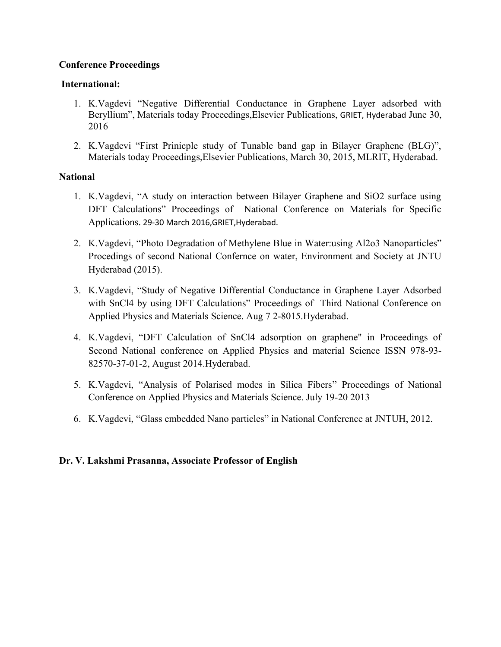# **Conference Proceedings**

# **International:**

- 1. K.Vagdevi "Negative Differential Conductance in Graphene Layer adsorbed with Beryllium", Materials today Proceedings,Elsevier Publications, GRIET, Hyderabad June 30, 2016
- 2. K.Vagdevi "First Prinicple study of Tunable band gap in Bilayer Graphene (BLG)", Materials today Proceedings,Elsevier Publications, March 30, 2015, MLRIT, Hyderabad.

# **National**

- 1. K.Vagdevi, "A study on interaction between Bilayer Graphene and SiO2 surface using DFT Calculations" Proceedings of National Conference on Materials for Specific Applications. 29-30 March 2016,GRIET,Hyderabad.
- 2. K.Vagdevi, "Photo Degradation of Methylene Blue in Water:using Al2o3 Nanoparticles" Procedings of second National Confernce on water, Environment and Society at JNTU Hyderabad (2015).
- 3. K.Vagdevi, "Study of Negative Differential Conductance in Graphene Layer Adsorbed with SnCl4 by using DFT Calculations" Proceedings of Third National Conference on Applied Physics and Materials Science. Aug 7 2-8015.Hyderabad.
- 4. K.Vagdevi, "DFT Calculation of SnCl4 adsorption on graphene" in Proceedings of Second National conference on Applied Physics and material Science ISSN 978-93- 82570-37-01-2, August 2014.Hyderabad.
- 5. K.Vagdevi, "Analysis of Polarised modes in Silica Fibers" Proceedings of National Conference on Applied Physics and Materials Science. July 19-20 2013
- 6. K.Vagdevi, "Glass embedded Nano particles" in National Conference at JNTUH, 2012.

# **Dr. V. Lakshmi Prasanna, Associate Professor of English**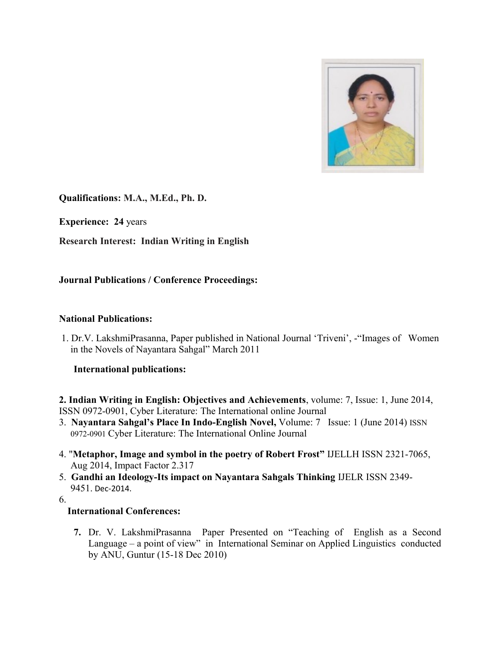

**Qualifications: M.A., M.Ed., Ph. D.** 

**Experience: 24** years

**Research Interest: Indian Writing in English** 

# **Journal Publications / Conference Proceedings:**

## **National Publications:**

 1. Dr.V. LakshmiPrasanna, Paper published in National Journal 'Triveni', -"Images of Women in the Novels of Nayantara Sahgal" March 2011

## **International publications:**

**2. Indian Writing in English: Objectives and Achievements**, volume: 7, Issue: 1, June 2014, ISSN 0972-0901, Cyber Literature: The International online Journal

- 3. **Nayantara Sahgal's Place In Indo-English Novel,** Volume: 7 Issue: 1 (June 2014) ISSN 0972-0901 Cyber Literature: The International Online Journal
- 4. "**Metaphor, Image and symbol in the poetry of Robert Frost"** IJELLH ISSN 2321-7065, Aug 2014, Impact Factor 2.317
- 5. **Gandhi an Ideology-Its impact on Nayantara Sahgals Thinking** IJELR ISSN 2349- 9451. Dec-2014.

6.

# **International Conferences:**

**7.** Dr. V. LakshmiPrasanna Paper Presented on "Teaching of English as a Second Language – a point of view" in International Seminar on Applied Linguistics conducted by ANU, Guntur (15-18 Dec 2010)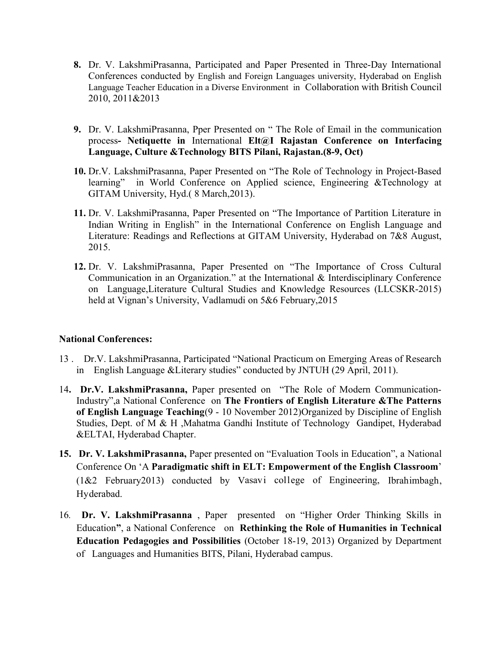- **8.** Dr. V. LakshmiPrasanna, Participated and Paper Presented in Three-Day International Conferences conducted by English and Foreign Languages university, Hyderabad on English Language Teacher Education in a Diverse Environment in Collaboration with British Council 2010, 2011&2013
- **9.** Dr. V. LakshmiPrasanna, Pper Presented on " The Role of Email in the communication process**- Netiquette in** International **Elt@I Rajastan Conference on Interfacing Language, Culture &Technology BITS Pilani, Rajastan.(8-9, Oct)**
- **10.** Dr.V. LakshmiPrasanna, Paper Presented on "The Role of Technology in Project-Based learning" in World Conference on Applied science, Engineering &Technology at GITAM University, Hyd.( 8 March,2013).
- **11.** Dr. V. LakshmiPrasanna, Paper Presented on "The Importance of Partition Literature in Indian Writing in English" in the International Conference on English Language and Literature: Readings and Reflections at GITAM University, Hyderabad on 7&8 August, 2015.
- **12.** Dr. V. LakshmiPrasanna, Paper Presented on "The Importance of Cross Cultural Communication in an Organization." at the International & Interdisciplinary Conference on Language,Literature Cultural Studies and Knowledge Resources (LLCSKR-2015) held at Vignan's University, Vadlamudi on 5&6 February,2015

## **National Conferences:**

- 13 . Dr.V. LakshmiPrasanna, Participated "National Practicum on Emerging Areas of Research in English Language &Literary studies" conducted by JNTUH (29 April, 2011).
- 14**. Dr.V. LakshmiPrasanna,** Paper presented on "The Role of Modern Communication-Industry",a National Conference on **The Frontiers of English Literature &The Patterns of English Language Teaching**(9 - 10 November 2012)Organized by Discipline of English Studies, Dept. of M & H ,Mahatma Gandhi Institute of Technology Gandipet, Hyderabad &ELTAI, Hyderabad Chapter.
- **15. Dr. V. LakshmiPrasanna,** Paper presented on "Evaluation Tools in Education", a National Conference On 'A **Paradigmatic shift in ELT: Empowerment of the English Classroom**' (1&2 February2013) conducted by Vasavi college of Engineering, Ibrahimbagh, Hyderabad.
- 16*.* **Dr. V. LakshmiPrasanna** , Paper presented on "Higher Order Thinking Skills in Education**"**, a National Conference on **Rethinking the Role of Humanities in Technical Education Pedagogies and Possibilities** (October 18-19, 2013) Organized by Department of Languages and Humanities BITS, Pilani, Hyderabad campus.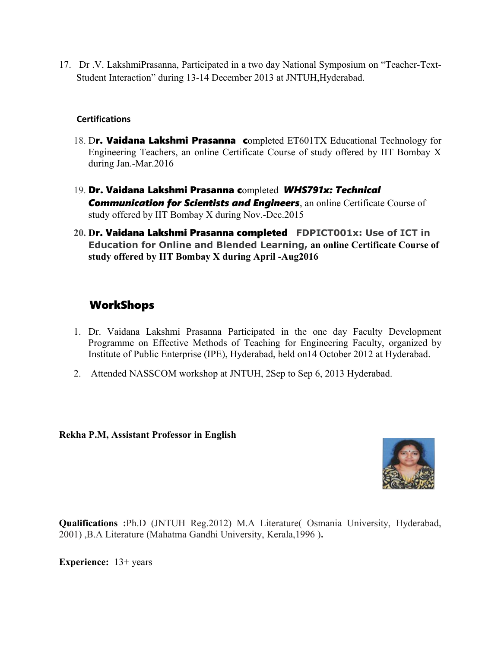17. Dr .V. LakshmiPrasanna, Participated in a two day National Symposium on "Teacher-Text-Student Interaction" during 13-14 December 2013 at JNTUH,Hyderabad.

## **Certifications**

- 18. Dr. Vaidana Lakshmi Prasanna completed ET601TX Educational Technology for Engineering Teachers, an online Certificate Course of study offered by IIT Bombay X during Jan.-Mar.2016
- 19. Dr. Vaidana Lakshmi Prasanna completed *WHS791x: Technical*  **Communication for Scientists and Engineers**, an online Certificate Course of study offered by IIT Bombay X during Nov.-Dec.2015
- **20. D**r. Vaidana Lakshmi Prasanna completed **FDPICT001x: Use of ICT in Education for Online and Blended Learning, an online Certificate Course of study offered by IIT Bombay X during April -Aug2016**

# WorkShops

- 1. Dr. Vaidana Lakshmi Prasanna Participated in the one day Faculty Development Programme on Effective Methods of Teaching for Engineering Faculty, organized by Institute of Public Enterprise (IPE), Hyderabad, held on14 October 2012 at Hyderabad.
- 2. Attended NASSCOM workshop at JNTUH, 2Sep to Sep 6, 2013 Hyderabad.

## **Rekha P.M, Assistant Professor in English**



**Qualifications :**Ph.D (JNTUH Reg.2012) M.A Literature( Osmania University, Hyderabad, 2001) ,B.A Literature (Mahatma Gandhi University, Kerala,1996 )**.**

**Experience:** 13+ years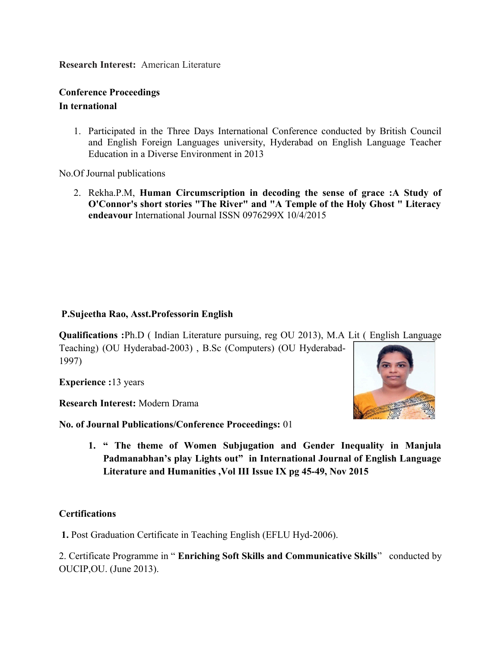**Research Interest:** American Literature

# **Conference Proceedings In ternational**

1. Participated in the Three Days International Conference conducted by British Council and English Foreign Languages university, Hyderabad on English Language Teacher Education in a Diverse Environment in 2013

No.Of Journal publications

2. Rekha.P.M, **Human Circumscription in decoding the sense of grace :A Study of O'Connor's short stories "The River" and "A Temple of the Holy Ghost " Literacy endeavour** International Journal ISSN 0976299X 10/4/2015

# **P.Sujeetha Rao, Asst.Professorin English**

**Qualifications :**Ph.D ( Indian Literature pursuing, reg OU 2013), M.A Lit ( English Language

Teaching) (OU Hyderabad-2003) , B.Sc (Computers) (OU Hyderabad-1997)

**Experience :**13 years

**Research Interest:** Modern Drama

**No. of Journal Publications/Conference Proceedings:** 01



**1. " The theme of Women Subjugation and Gender Inequality in Manjula Padmanabhan's play Lights out" in International Journal of English Language Literature and Humanities ,Vol III Issue IX pg 45-49, Nov 2015**

# **Certifications**

 **1.** Post Graduation Certificate in Teaching English (EFLU Hyd-2006).

2. Certificate Programme in " **Enriching Soft Skills and Communicative Skills**" conducted by OUCIP,OU. (June 2013).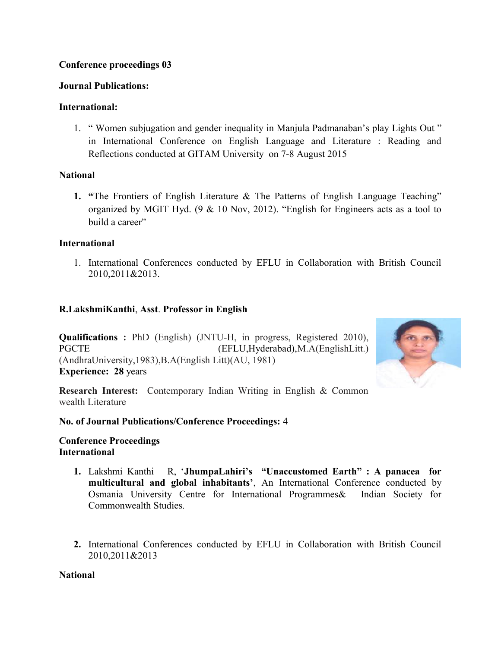# **Conference proceedings 03**

# **Journal Publications:**

# **International:**

1. " Women subjugation and gender inequality in Manjula Padmanaban's play Lights Out " in International Conference on English Language and Literature : Reading and Reflections conducted at GITAM University on 7-8 August 2015

# **National**

**1. "**The Frontiers of English Literature & The Patterns of English Language Teaching" organized by MGIT Hyd. (9 & 10 Nov, 2012). "English for Engineers acts as a tool to build a career"

# **International**

1. International Conferences conducted by EFLU in Collaboration with British Council 2010,2011&2013.

# **R.LakshmiKanthi**, **Asst**. **Professor in English**

**Qualifications :** PhD (English) (JNTU-H, in progress, Registered 2010), PGCTE (EFLU, Hyderabad), M.A(EnglishLitt.) (AndhraUniversity,1983),B.A(English Litt)(AU, 1981) **Experience: 28** years



**Research Interest:** Contemporary Indian Writing in English & Common wealth Literature

# **No. of Journal Publications/Conference Proceedings:** 4

# **Conference Proceedings International**

- **1.** Lakshmi Kanthi R, '**JhumpaLahiri's "Unaccustomed Earth" : A panacea for multicultural and global inhabitants'**, An International Conference conducted by Osmania University Centre for International Programmes& Indian Society for Commonwealth Studies.
- **2.** International Conferences conducted by EFLU in Collaboration with British Council 2010,2011&2013

# **National**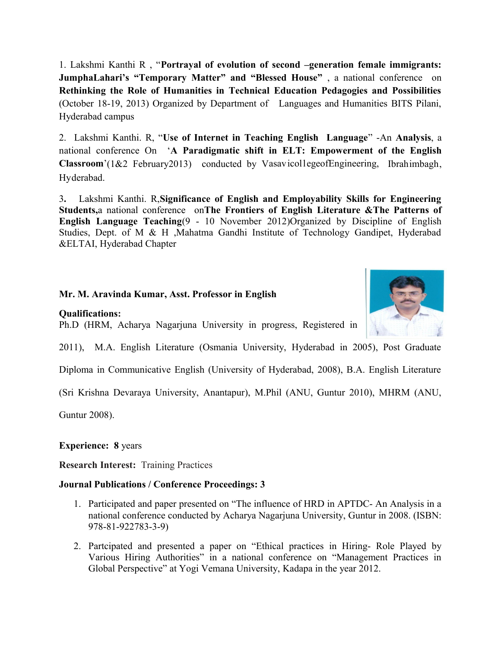1. Lakshmi Kanthi R , "**Portrayal of evolution of second –generation female immigrants: JumphaLahari's "Temporary Matter" and "Blessed House"** , a national conference on **Rethinking the Role of Humanities in Technical Education Pedagogies and Possibilities** (October 18-19, 2013) Organized by Department of Languages and Humanities BITS Pilani, Hyderabad campus

2. Lakshmi Kanthi. R, "**Use of Internet in Teaching English Language**" -An **Analysis**, a national conference On '**A Paradigmatic shift in ELT: Empowerment of the English Classroom**'(1&2 February2013) conducted by VasavicollegeofEngineering, Ibrahimbagh, Hyderabad.

3**.** Lakshmi Kanthi. R,**Significance of English and Employability Skills for Engineering Students,**a national conference on**The Frontiers of English Literature &The Patterns of English Language Teaching**(9 - 10 November 2012)Organized by Discipline of English Studies, Dept. of M & H ,Mahatma Gandhi Institute of Technology Gandipet, Hyderabad &ELTAI, Hyderabad Chapter

# **Mr. M. Aravinda Kumar, Asst. Professor in English**

**Qualifications:**

Ph.D (HRM, Acharya Nagarjuna University in progress, Registered in



Diploma in Communicative English (University of Hyderabad, 2008), B.A. English Literature

(Sri Krishna Devaraya University, Anantapur), M.Phil (ANU, Guntur 2010), MHRM (ANU,

Guntur 2008).

**Experience: 8** years

**Research Interest:** Training Practices

## **Journal Publications / Conference Proceedings: 3**

- 1. Participated and paper presented on "The influence of HRD in APTDC- An Analysis in a national conference conducted by Acharya Nagarjuna University, Guntur in 2008. (ISBN: 978-81-922783-3-9)
- 2. Partcipated and presented a paper on "Ethical practices in Hiring- Role Played by Various Hiring Authorities" in a national conference on "Management Practices in Global Perspective" at Yogi Vemana University, Kadapa in the year 2012.

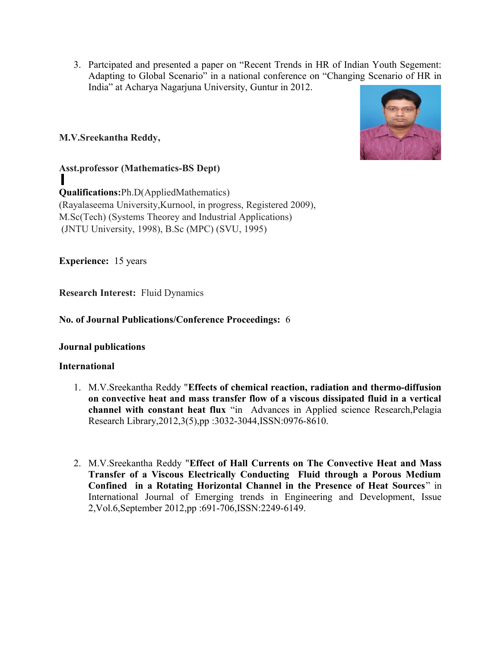3. Partcipated and presented a paper on "Recent Trends in HR of Indian Youth Segement: Adapting to Global Scenario" in a national conference on "Changing Scenario of HR in India" at Acharya Nagarjuna University, Guntur in 2012.

# **M.V.Sreekantha Reddy,**



# **Asst.professor (Mathematics-BS Dept)**

**Qualifications:**Ph.D(AppliedMathematics) (Rayalaseema University,Kurnool, in progress, Registered 2009), M.Sc(Tech) (Systems Theorey and Industrial Applications) (JNTU University, 1998), B.Sc (MPC) (SVU, 1995)

**Experience:** 15 years

**Research Interest:** Fluid Dynamics

# **No. of Journal Publications/Conference Proceedings:** 6

## **Journal publications**

## **International**

- 1. M.V.Sreekantha Reddy "**Effects of chemical reaction, radiation and thermo-diffusion on convective heat and mass transfer flow of a viscous dissipated fluid in a vertical channel with constant heat flux** "in Advances in Applied science Research,Pelagia Research Library,2012,3(5),pp :3032-3044,ISSN:0976-8610.
- 2. M.V.Sreekantha Reddy "**Effect of Hall Currents on The Convective Heat and Mass Transfer of a Viscous Electrically Conducting Fluid through a Porous Medium Confined in a Rotating Horizontal Channel in the Presence of Heat Sources**" in International Journal of Emerging trends in Engineering and Development, Issue 2,Vol.6,September 2012,pp :691-706,ISSN:2249-6149.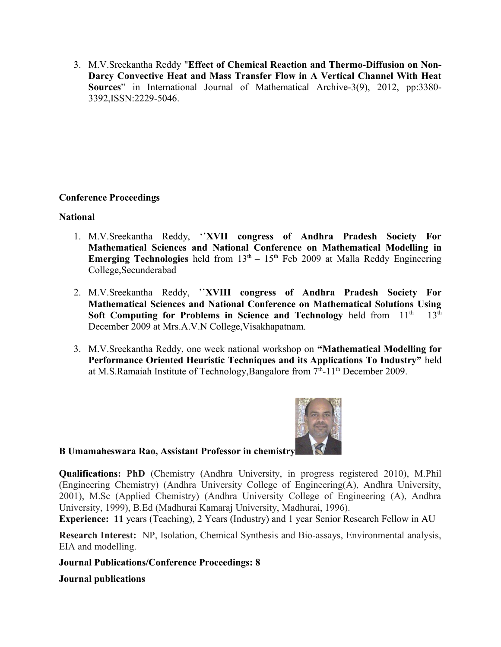3. M.V.Sreekantha Reddy "**Effect of Chemical Reaction and Thermo-Diffusion on Non-Darcy Convective Heat and Mass Transfer Flow in A Vertical Channel With Heat Sources**" in International Journal of Mathematical Archive-3(9), 2012, pp:3380- 3392,ISSN:2229-5046.

# **Conference Proceedings**

## **National**

- 1. M.V.Sreekantha Reddy, ''**XVII congress of Andhra Pradesh Society For Mathematical Sciences and National Conference on Mathematical Modelling in Emerging Technologies** held from  $13<sup>th</sup> - 15<sup>th</sup>$  Feb 2009 at Malla Reddy Engineering College,Secunderabad
- 2. M.V.Sreekantha Reddy, ''**XVIII congress of Andhra Pradesh Society For Mathematical Sciences and National Conference on Mathematical Solutions Using Soft Computing for Problems in Science and Technology** held from  $11<sup>th</sup> - 13<sup>th</sup>$ December 2009 at Mrs.A.V.N College,Visakhapatnam.
- 3. M.V.Sreekantha Reddy, one week national workshop on **"Mathematical Modelling for Performance Oriented Heuristic Techniques and its Applications To Industry"** held at M.S.Ramaiah Institute of Technology, Bangalore from  $7<sup>th</sup>$ -11<sup>th</sup> December 2009.



# **B Umamaheswara Rao, Assistant Professor in chemistry**

**Qualifications: PhD** (Chemistry (Andhra University, in progress registered 2010), M.Phil (Engineering Chemistry) (Andhra University College of Engineering(A), Andhra University, 2001), M.Sc (Applied Chemistry) (Andhra University College of Engineering (A), Andhra University, 1999), B.Ed (Madhurai Kamaraj University, Madhurai, 1996).

**Experience: 11** years (Teaching), 2 Years (Industry) and 1 year Senior Research Fellow in AU

**Research Interest:** NP, Isolation, Chemical Synthesis and Bio-assays, Environmental analysis, EIA and modelling.

**Journal Publications/Conference Proceedings: 8**

**Journal publications**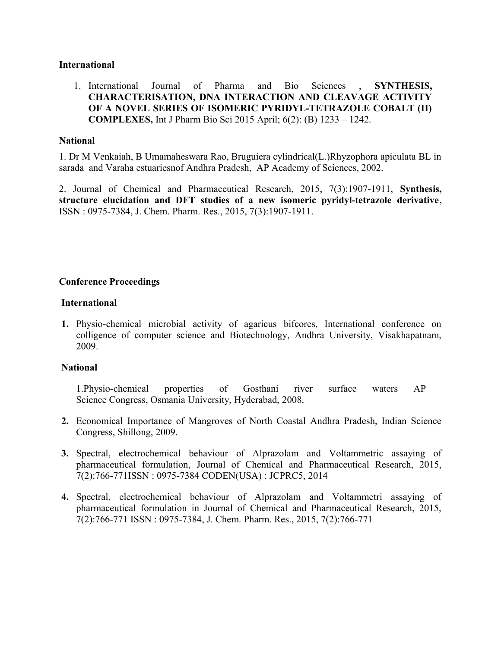#### **International**

1. International Journal of Pharma and Bio Sciences , **SYNTHESIS, CHARACTERISATION, DNA INTERACTION AND CLEAVAGE ACTIVITY OF A NOVEL SERIES OF ISOMERIC PYRIDYL-TETRAZOLE COBALT (II) COMPLEXES,** Int J Pharm Bio Sci 2015 April; 6(2): (B) 1233 – 1242.

#### **National**

1. Dr M Venkaiah, B Umamaheswara Rao, Bruguiera cylindrical(L.)Rhyzophora apiculata BL in sarada and Varaha estuariesnof Andhra Pradesh, AP Academy of Sciences, 2002.

2. Journal of Chemical and Pharmaceutical Research, 2015, 7(3):1907-1911, **Synthesis, structure elucidation and DFT studies of a new isomeric pyridyl-tetrazole derivative**, ISSN : 0975-7384, J. Chem. Pharm. Res., 2015, 7(3):1907-1911.

## **Conference Proceedings**

#### **International**

**1.** Physio-chemical microbial activity of agaricus bifcores, International conference on colligence of computer science and Biotechnology, Andhra University, Visakhapatnam, 2009.

#### **National**

1.Physio-chemical properties of Gosthani river surface waters AP Science Congress, Osmania University, Hyderabad, 2008.

- **2.** Economical Importance of Mangroves of North Coastal Andhra Pradesh, Indian Science Congress, Shillong, 2009.
- **3.** Spectral, electrochemical behaviour of Alprazolam and Voltammetric assaying of pharmaceutical formulation, Journal of Chemical and Pharmaceutical Research, 2015, 7(2):766-771ISSN : 0975-7384 CODEN(USA) : JCPRC5, 2014
- **4.** Spectral, electrochemical behaviour of Alprazolam and Voltammetri assaying of pharmaceutical formulation in Journal of Chemical and Pharmaceutical Research, 2015, 7(2):766-771 ISSN : 0975-7384, J. Chem. Pharm. Res., 2015, 7(2):766-771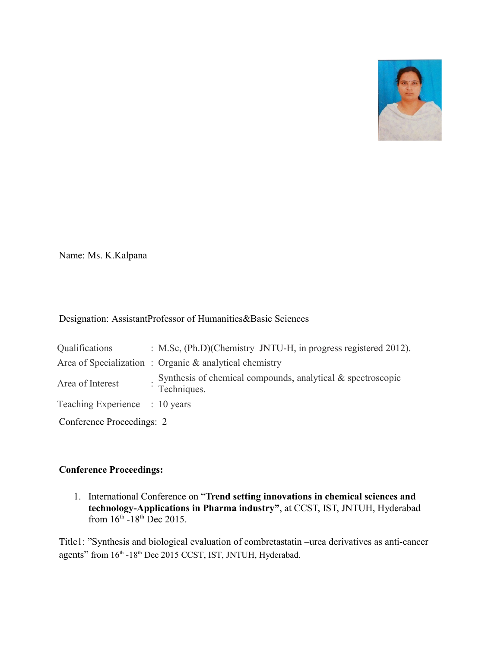

Name: Ms. K.Kalpana

# Designation: AssistantProfessor of Humanities&Basic Sciences

| Qualifications                 |  | : M.Sc, (Ph.D)(Chemistry JNTU-H, in progress registered 2012).             |  |  |  |
|--------------------------------|--|----------------------------------------------------------------------------|--|--|--|
|                                |  | Area of Specialization: Organic & analytical chemistry                     |  |  |  |
| Area of Interest               |  | Synthesis of chemical compounds, analytical & spectroscopic<br>Techniques. |  |  |  |
| Teaching Experience : 10 years |  |                                                                            |  |  |  |
| Conference Proceedings: 2      |  |                                                                            |  |  |  |

# **Conference Proceedings:**

1. International Conference on "**Trend setting innovations in chemical sciences and technology-Applications in Pharma industry"**, at CCST, IST, JNTUH, Hyderabad from  $16^{th}$  -18<sup>th</sup> Dec 2015.

Title1: "Synthesis and biological evaluation of combretastatin –urea derivatives as anti-cancer agents" from  $16<sup>th</sup> -18<sup>th</sup>$  Dec 2015 CCST, IST, JNTUH, Hyderabad.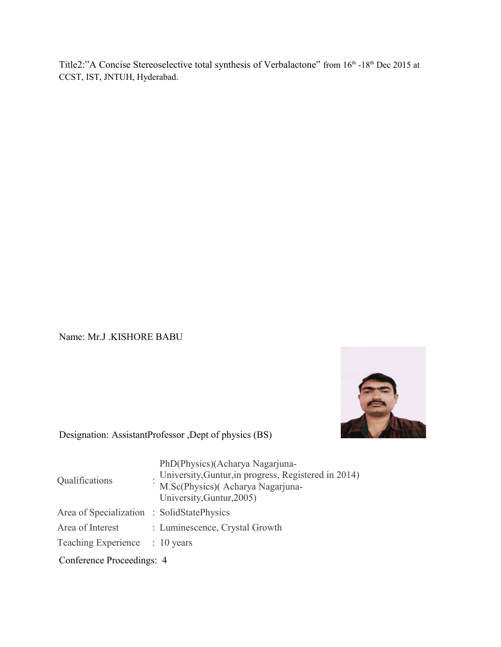Title2:"A Concise Stereoselective total synthesis of Verbalactone" from 16th -18th Dec 2015 at CCST, IST, JNTUH, Hyderabad.

Name: Mr.J .KISHORE BABU



# Designation: AssistantProfessor ,Dept of physics (BS)

| Qualifications                             |  | PhD(Physics)(Acharya Nagarjuna-<br>University, Guntur, in progress, Registered in 2014)<br>M.Sc(Physics)(Acharya Nagarjuna-<br>University, Guntur, 2005) |  |  |  |
|--------------------------------------------|--|----------------------------------------------------------------------------------------------------------------------------------------------------------|--|--|--|
| Area of Specialization : SolidStatePhysics |  |                                                                                                                                                          |  |  |  |
| Area of Interest                           |  | : Luminescence, Crystal Growth                                                                                                                           |  |  |  |
| Teaching Experience                        |  | $: 10$ years                                                                                                                                             |  |  |  |
| Conference Proceedings: 4                  |  |                                                                                                                                                          |  |  |  |